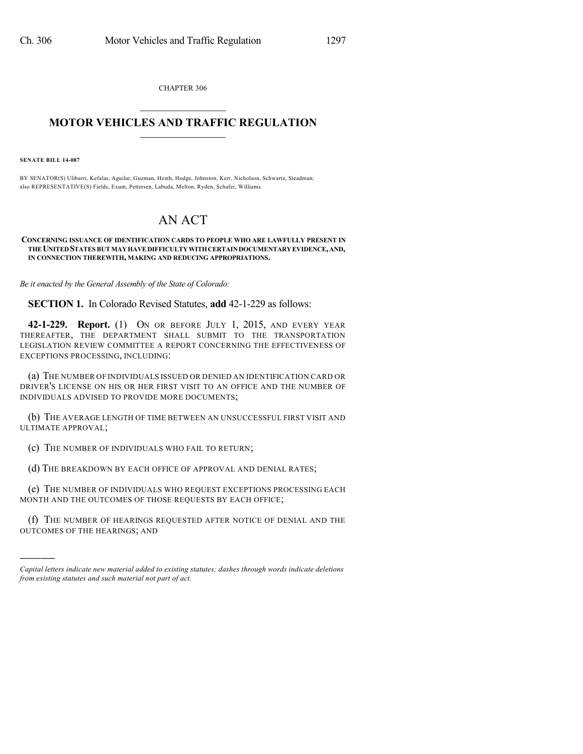CHAPTER 306  $\overline{\phantom{a}}$  . The set of the set of the set of the set of the set of the set of the set of the set of the set of the set of the set of the set of the set of the set of the set of the set of the set of the set of the set o

## **MOTOR VEHICLES AND TRAFFIC REGULATION**  $\frac{1}{2}$  ,  $\frac{1}{2}$  ,  $\frac{1}{2}$  ,  $\frac{1}{2}$  ,  $\frac{1}{2}$  ,  $\frac{1}{2}$  ,  $\frac{1}{2}$

**SENATE BILL 14-087**

)))))

BY SENATOR(S) Ulibarri, Kefalas, Aguilar, Guzman, Heath, Hodge, Johnston, Kerr, Nicholson, Schwartz, Steadman; also REPRESENTATIVE(S) Fields, Exum, Pettersen, Labuda, Melton, Ryden, Schafer, Williams.

## AN ACT

## **CONCERNING ISSUANCE OF IDENTIFICATION CARDS TO PEOPLE WHO ARE LAWFULLY PRESENT IN THEUNITEDSTATES BUTMAYHAVEDIFFICULTYWITHCERTAINDOCUMENTARYEVIDENCE,AND, IN CONNECTION THEREWITH, MAKING AND REDUCING APPROPRIATIONS.**

*Be it enacted by the General Assembly of the State of Colorado:*

**SECTION 1.** In Colorado Revised Statutes, **add** 42-1-229 as follows:

**42-1-229. Report.** (1) ON OR BEFORE JULY 1, 2015, AND EVERY YEAR THEREAFTER, THE DEPARTMENT SHALL SUBMIT TO THE TRANSPORTATION LEGISLATION REVIEW COMMITTEE A REPORT CONCERNING THE EFFECTIVENESS OF EXCEPTIONS PROCESSING, INCLUDING:

(a) THE NUMBER OF INDIVIDUALS ISSUED OR DENIED AN IDENTIFICATION CARD OR DRIVER'S LICENSE ON HIS OR HER FIRST VISIT TO AN OFFICE AND THE NUMBER OF INDIVIDUALS ADVISED TO PROVIDE MORE DOCUMENTS;

(b) THE AVERAGE LENGTH OF TIME BETWEEN AN UNSUCCESSFUL FIRST VISIT AND ULTIMATE APPROVAL;

(c) THE NUMBER OF INDIVIDUALS WHO FAIL TO RETURN;

(d) THE BREAKDOWN BY EACH OFFICE OF APPROVAL AND DENIAL RATES;

(e) THE NUMBER OF INDIVIDUALS WHO REQUEST EXCEPTIONS PROCESSING EACH MONTH AND THE OUTCOMES OF THOSE REQUESTS BY EACH OFFICE;

(f) THE NUMBER OF HEARINGS REQUESTED AFTER NOTICE OF DENIAL AND THE OUTCOMES OF THE HEARINGS; AND

*Capital letters indicate new material added to existing statutes; dashes through words indicate deletions from existing statutes and such material not part of act.*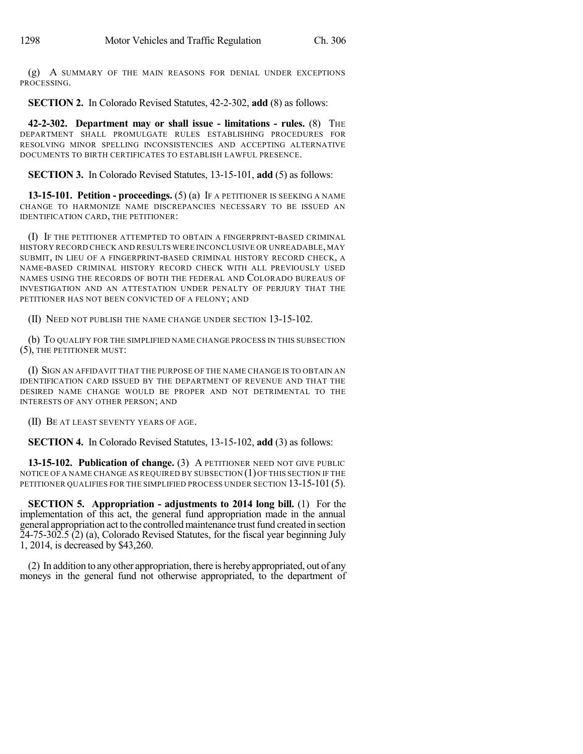(g) A SUMMARY OF THE MAIN REASONS FOR DENIAL UNDER EXCEPTIONS PROCESSING.

**SECTION 2.** In Colorado Revised Statutes, 42-2-302, **add** (8) as follows:

**42-2-302. Department may or shall issue - limitations - rules.** (8) THE DEPARTMENT SHALL PROMULGATE RULES ESTABLISHING PROCEDURES FOR RESOLVING MINOR SPELLING INCONSISTENCIES AND ACCEPTING ALTERNATIVE DOCUMENTS TO BIRTH CERTIFICATES TO ESTABLISH LAWFUL PRESENCE.

**SECTION 3.** In Colorado Revised Statutes, 13-15-101, **add** (5) as follows:

**13-15-101. Petition - proceedings.** (5) (a) IF A PETITIONER IS SEEKING A NAME CHANGE TO HARMONIZE NAME DISCREPANCIES NECESSARY TO BE ISSUED AN IDENTIFICATION CARD, THE PETITIONER:

(I) IF THE PETITIONER ATTEMPTED TO OBTAIN A FINGERPRINT-BASED CRIMINAL HISTORY RECORD CHECK AND RESULTS WERE INCONCLUSIVE OR UNREADABLE, MAY SUBMIT, IN LIEU OF A FINGERPRINT-BASED CRIMINAL HISTORY RECORD CHECK, A NAME-BASED CRIMINAL HISTORY RECORD CHECK WITH ALL PREVIOUSLY USED NAMES USING THE RECORDS OF BOTH THE FEDERAL AND COLORADO BUREAUS OF INVESTIGATION AND AN ATTESTATION UNDER PENALTY OF PERJURY THAT THE PETITIONER HAS NOT BEEN CONVICTED OF A FELONY; AND

(II) NEED NOT PUBLISH THE NAME CHANGE UNDER SECTION 13-15-102.

(b) TO QUALIFY FOR THE SIMPLIFIED NAME CHANGE PROCESS IN THIS SUBSECTION (5), THE PETITIONER MUST:

(I) SIGN AN AFFIDAVIT THAT THE PURPOSE OF THE NAME CHANGE IS TO OBTAIN AN IDENTIFICATION CARD ISSUED BY THE DEPARTMENT OF REVENUE AND THAT THE DESIRED NAME CHANGE WOULD BE PROPER AND NOT DETRIMENTAL TO THE INTERESTS OF ANY OTHER PERSON; AND

(II) BE AT LEAST SEVENTY YEARS OF AGE.

**SECTION 4.** In Colorado Revised Statutes, 13-15-102, **add** (3) as follows:

**13-15-102. Publication of change.** (3) A PETITIONER NEED NOT GIVE PUBLIC NOTICE OF A NAME CHANGE AS REQUIRED BY SUBSECTION (1)OF THIS SECTION IF THE PETITIONER QUALIFIES FOR THE SIMPLIFIED PROCESS UNDER SECTION 13-15-101 (5).

**SECTION 5. Appropriation - adjustments to 2014 long bill.** (1) For the implementation of this act, the general fund appropriation made in the annual general appropriation act to the controlledmaintenance trustfund created in section 24-75-302.5 (2) (a), Colorado Revised Statutes, for the fiscal year beginning July 1, 2014, is decreased by \$43,260.

(2) In addition to anyother appropriation, there is herebyappropriated, out of any moneys in the general fund not otherwise appropriated, to the department of